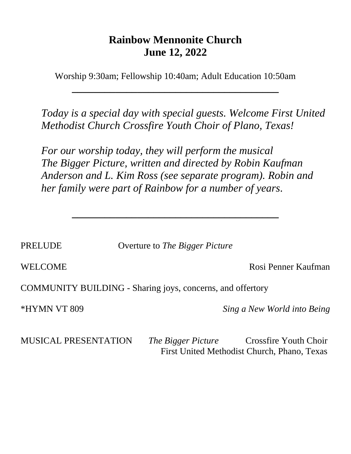# **Rainbow Mennonite Church June 12, 2022**

Worship 9:30am; Fellowship 10:40am; Adult Education 10:50am

**\_\_\_\_\_\_\_\_\_\_\_\_\_\_\_\_\_\_\_\_\_\_\_\_\_\_\_\_\_\_\_\_\_\_\_\_\_\_**

*Today is a special day with special guests. Welcome First United Methodist Church Crossfire Youth Choir of Plano, Texas!*

*For our worship today, they will perform the musical The Bigger Picture, written and directed by Robin Kaufman Anderson and L. Kim Ross (see separate program). Robin and her family were part of Rainbow for a number of years.*

PRELUDE Overture to *The Bigger Picture*

**\_\_\_\_\_\_\_\_\_\_\_\_\_\_\_\_\_\_\_\_\_\_\_\_\_\_\_\_\_\_\_\_\_\_\_\_\_\_**

WELCOME Rosi Penner Kaufman

COMMUNITY BUILDING - Sharing joys, concerns, and offertory

\*HYMN VT 809 *Sing a New World into Being*

MUSICAL PRESENTATION *The Bigger Picture* Crossfire Youth Choir First United Methodist Church, Phano, Texas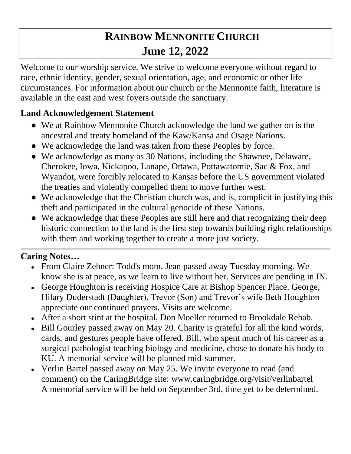# **RAINBOW MENNONITE CHURCH June 12, 2022**

Welcome to our worship service. We strive to welcome everyone without regard to race, ethnic identity, gender, sexual orientation, age, and economic or other life circumstances. For information about our church or the Mennonite faith, literature is available in the east and west foyers outside the sanctuary.

# **Land Acknowledgement Statement**

- We at Rainbow Mennonite Church acknowledge the land we gather on is the ancestral and treaty homeland of the Kaw/Kansa and Osage Nations.
- We acknowledge the land was taken from these Peoples by force.
- We acknowledge as many as 30 Nations, including the Shawnee, Delaware, Cherokee, Iowa, Kickapoo, Lanape, Ottawa, Pottawatomie, Sac & Fox, and Wyandot, were forcibly relocated to Kansas before the US government violated the treaties and violently compelled them to move further west.
- We acknowledge that the Christian church was, and is, complicit in justifying this theft and participated in the cultural genocide of these Nations.
- We acknowledge that these Peoples are still here and that recognizing their deep historic connection to the land is the first step towards building right relationships with them and working together to create a more just society.

# **Caring Notes…**

- From Claire Zehner: Todd's mom, Jean passed away Tuesday morning. We know she is at peace, as we learn to live without her. Services are pending in IN.
- George Houghton is receiving Hospice Care at Bishop Spencer Place. George, Hilary Duderstadt (Daughter), Trevor (Son) and Trevor's wife Beth Houghton appreciate our continued prayers. Visits are welcome.
- After a short stint at the hospital, Don Moeller returned to Brookdale Rehab.
- Bill Gourley passed away on May 20. Charity is grateful for all the kind words, cards, and gestures people have offered. Bill, who spent much of his career as a surgical pathologist teaching biology and medicine, chose to donate his body to KU. A memorial service will be planned mid-summer.
- Verlin Bartel passed away on May 25. We invite everyone to read (and comment) on the CaringBridge site: www.caringbridge.org/visit/verlinbartel A memorial service will be held on September 3rd, time yet to be determined.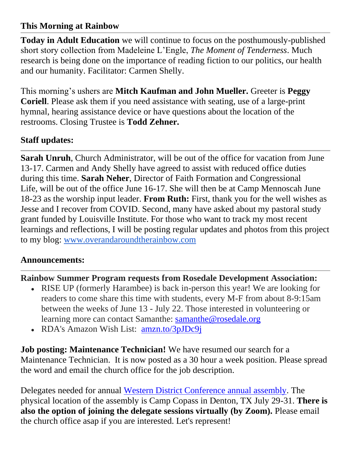## **This Morning at Rainbow**

**Today in Adult Education** we will continue to focus on the posthumously-published short story collection from Madeleine L'Engle, *The Moment of Tenderness*. Much research is being done on the importance of reading fiction to our politics, our health and our humanity. Facilitator: Carmen Shelly.

This morning's ushers are **Mitch Kaufman and John Mueller.** Greeter is **Peggy Coriell**. Please ask them if you need assistance with seating, use of a large-print hymnal, hearing assistance device or have questions about the location of the restrooms. Closing Trustee is **Todd Zehner.**

## **Staff updates:**

**Sarah Unruh**, Church Administrator, will be out of the office for vacation from June 13-17. Carmen and Andy Shelly have agreed to assist with reduced office duties during this time. **Sarah Neher**, Director of Faith Formation and Congressional Life, will be out of the office June 16-17. She will then be at Camp Mennoscah June 18-23 as the worship input leader. **From Ruth:** First, thank you for the well wishes as Jesse and I recover from COVID. Second, many have asked about my pastoral study grant funded by Louisville Institute. For those who want to track my most recent learnings and reflections, I will be posting regular updates and photos from this project to my blog: [www.overandaroundtherainbow.com](http://www.overandaroundtherainbow.com/)

## **Announcements:**

## **Rainbow Summer Program requests from Rosedale Development Association:**

- RISE UP (formerly Harambee) is back in-person this year! We are looking for readers to come share this time with students, every M-F from about 8-9:15am between the weeks of June 13 - July 22. Those interested in volunteering or learning more can contact Samanthe: [samanthe@rosedale.org](mailto:samanthe@rosedale.org)
- RDA's Amazon Wish List: [amzn.to/3pJDc9j](http://amzn.to/3pJDc9j)

**Job posting: Maintenance Technician!** We have resumed our search for a Maintenance Technician. It is now posted as a 30 hour a week position. Please spread the word and email the church office for the job description.

Delegates needed for annual [Western District Conference annual assembly.](https://mennowdc.org/event/wdc-2022-annual-assembly/) The physical location of the assembly is Camp Copass in Denton, TX July 29-31. **There is also the option of joining the delegate sessions virtually (by Zoom).** Please email the church office asap if you are interested. Let's represent!